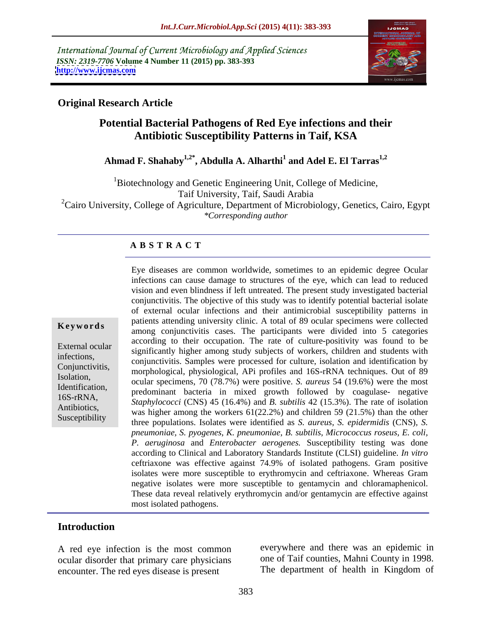International Journal of Current Microbiology and Applied Sciences *ISSN: 2319-7706* **Volume 4 Number 11 (2015) pp. 383-393 <http://www.ijcmas.com>**



### **Original Research Article**

## **Potential Bacterial Pathogens of Red Eye infections and their Antibiotic Susceptibility Patterns in Taif, KSA**

### **Ahmad F. Shahaby1,2\* , Abdulla A. Alharthi<sup>1</sup> and Adel E. El Tarras1,2**

1Biotechnology and Genetic Engineering Unit, College of Medicine, Taif University, Taif, Saudi Arabia <sup>2</sup>Cairo University, College of Agriculture, Department of Microbiology, Genetics, Cairo, Egypt *\*Corresponding author*

### **A B S T R A C T**

Susceptibility

Eye diseases are common worldwide, sometimes to an epidemic degree Ocular infections can cause damage to structures of the eye, which can lead to reduced vision and even blindness if left untreated. The present study investigated bacterial conjunctivitis. The objective of this study was to identify potential bacterial isolate of external ocular infections and their antimicrobial susceptibility patterns in patients attending university clinic. A total of 89 ocular specimens were collected **Keywords** among conjunctivitis cases. The participants were divided into 5 categories among conjunctivitis cases. The participants were divided into 5 categories according to their occupation. The rate of culture-positivity was found to be External ocular<br>
significantly higher among study subjects of workers, children and students with infections,<br>
conjunctivitis. Samples were processed for culture, isolation and identification by morphological, physiological, APi profiles and 16S-rRNA techniques. Out of 89 Conjunctivitis, ocular specimens, 70 (78.7%) were positive. *S. aureus* 54 (19.6%) were the most Isolation, Identification,<br>
predominant bacteria in mixed growth followed by coagulase- negative 16S-rRNA,<br> *Staphylococci* (CNS) 45 (16.4%) and *B. subtilis* 42 (15.3%). The rate of isolation Antibiotics,<br>
was higher among the workers  $61(22.2%)$  and children 59 (21.5%) than the other three populations. Isolates were identified as *S. aureus, S. epidermidis* (CNS)*, S. pneumoniae, S. pyogenes, K. pneumoniae, B. subtilis, Micrococcus roseus, E. coli, P. aeruginosa* and *Enterobacter aerogenes.* Susceptibility testing was done according to Clinical and Laboratory Standards Institute (CLSI) guideline. *In vitro* ceftriaxone was effective against 74.9% of isolated pathogens. Gram positive isolates were more susceptible to erythromycin and ceftriaxone. Whereas Gram negative isolates were more susceptible to gentamycin and chloramaphenicol. These data reveal relatively erythromycin and/or gentamycin are effective against most isolated pathogens.

### **Introduction**

A red eye infection is the most common ocular disorder that primary care physicians encounter. The red eyes disease is present

everywhere and there was an epidemic in one of Taif counties, Mahni County in 1998. The department of health in Kingdom of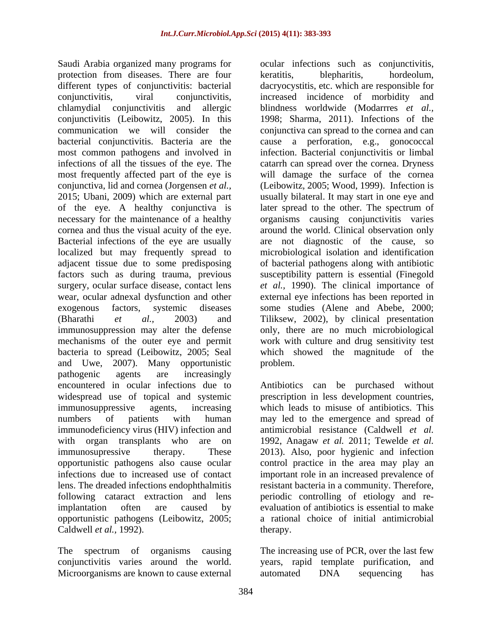Saudi Arabia organized many programs for ocular infections such as conjunctivitis, protection from diseases. There are four different types of conjunctivitis: bacterial conjunctivitis, viral conjunctivitis, increased incidence of morbidity and<br>chlamydial conjunctivitis and allergic blindness worldwide (Modarrres *et al.*, conjunctivitis (Leibowitz, 2005). In this communication we will consider the conjunctiva can spread to the cornea and can bacterial conjunctivitis. Bacteria are the cause a perforation, e.g., gonococcal most common pathogens and involved in infections of all the tissues of the eye. The catarrh can spread over the cornea. Dryness most frequently affected part of the eye is will damage the surface of the cornea conjunctiva, lid and cornea (Jorgensen *et al.,* 2015; Ubani, 2009) which are external part usually bilateral. It may start in one eye and of the eye. A healthy conjunctiva is necessary for the maintenance of a healthy organisms causing conjunctivitis varies cornea and thus the visual acuity of the eye. around the world. Clinical observation only Bacterial infections of the eye are usually are not diagnostic of the cause, so localized but may frequently spread to microbiological isolation and identification adjacent tissue due to some predisposing of bacterial pathogens along with antibiotic factors such as during trauma, previous susceptibility pattern is essential (Finegold surgery, ocular surface disease, contact lens *et al.,* 1990). The clinical importance of wear, ocular adnexal dysfunction and other external eye infections has been reported in exogenous factors, systemic diseases some studies (Alene and Abebe, 2000; (Bharathi *et al.,* 2003) and Tiliksew, 2002), by clinical presentation immunosuppression may alter the defense only, there are no much microbiological mechanisms of the outer eye and permit work with culture and drug sensitivity test bacteria to spread (Leibowitz, 2005; Seal which showed the magnitude of the and Uwe, 2007). Many opportunistic pathogenic agents are increasingly encountered in ocular infections due to Antibiotics can be purchased without widespread use of topical and systemic immunosuppressive agents, increasing which leads to misuse of antibiotics. This numbers of patients with human may led to the emergence and spread of immunodeficiency virus (HIV) infection and antimicrobial resistance (Caldwell *et al.* with organ transplants who are on 1992, Anagaw *et al.* 2011; Tewelde *et al.* immunosupressive therapy. These 2013). Also, poor hygienic and infection opportunistic pathogens also cause ocular control practice in the area may play an infections due to increased use of contact important role in an increased prevalence of lens. The dreaded infections endophthalmitis resistant bacteria in a community. Therefore, following cataract extraction and lens periodic controlling of etiology and re implantation often are caused by evaluation of antibiotics is essential to make opportunistic pathogens (Leibowitz, 2005; Caldwell *et al.*, 1992). therapy.

conjunctivitis varies around the world. years, rapid template purification, and Microorganisms are known to cause external automated DNA sequencing has

keratitis, blepharitis, hordeolum, dacryocystitis, etc. which are responsible for increased incidence of morbidity and blindness worldwide (Modarrres *et al.,* 1998; Sharma, 2011). Infections of the infection. Bacterial conjunctivitis or limbal (Leibowitz, 2005; Wood, 1999). Infection is later spread to the other. The spectrum of problem.

prescription in less development countries, a rational choice of initial antimicrobial therapy.

The spectrum of organisms causing The increasing use of PCR, over the last few years, rapid template purification, automated DNA sequencing has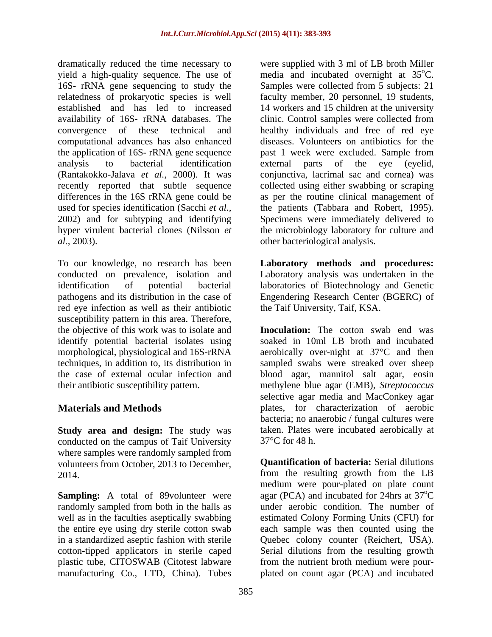dramatically reduced the time necessary to were supplied with 3 ml of LB broth Miller yield a high-quality sequence. The use of 16S- rRNA gene sequencing to study the Samples were collected from 5 subjects: 21 relatedness of prokaryotic species is well faculty member, 20 personnel, 19 students, established and has led to increased 14 workers and 15 children at the university availability of 16S- rRNA databases. The convergence of these technical and healthy individuals and freeof red eye computational advances has also enhanced the application of 16S- rRNA gene sequence past 1 week were excluded. Sample from analysis to bacterial identification (Rantakokko-Jalava *et al.,* 2000). It was conjunctiva, lacrimal sac and cornea) was recently reported that subtle sequence collected using either swabbing or scraping differences in the 16S rRNA gene could be used for species identification (Sacchi *et al.,* the patients (Tabbara and Robert, 1995). 2002) and for subtyping and identifying Specimens were immediately delivered to hyper virulent bacterial clones (Nilsson *et*  the microbiology laboratory for culture and *al.,* 2003). other bacteriological analysis.

To our knowledge, no research has been **Laboratory methods and procedures:** conducted on prevalence, isolation and Laboratory analysis was undertaken in the identification of potential bacterial laboratories of Biotechnology and Genetic pathogens and its distribution in the case of Engendering Research Center (BGERC) of red eye infection as well as their antibiotic susceptibility pattern in this area. Therefore, the objective of this work was to isolate and

**Study area and design:** The study was conducted on the campus of Taif University  $37^{\circ}$ C for 48 h. where samples were randomly sampled from volunteers from October, 2013 to December,

randomly sampled from both in the halls as manufacturing Co., LTD, China). Tubes plated on count agar (PCA) and incubated

media and incubated overnight at  $35^{\circ}$ C.  $\rm ^{o}C.$ clinic. Control samples were collected from diseases. Volunteers on antibiotics for the external parts of the eye (eyelid, as per the routine clinical management of

the Taif University, Taif, KSA.

identify potential bacterial isolates using soaked in 10ml LB broth and incubated morphological, physiological and 16S-rRNA aerobically over-night at 37°C and then techniques, in addition to, its distribution in sampled swabs were streaked over sheep the case of external ocular infection and blood agar, mannitol salt agar, eosin their antibiotic susceptibility pattern. methylene blue agar (EMB), *Streptococcus* **Materials and Methods** plates, for characterization of aerobic **Inoculation:** The cotton swab end was selective agar media and MacConkey agar bacteria; no anaerobic / fungal cultures were taken. Plates were incubated aerobically at  $37^{\circ}$ C for 48 h.

2014. from the resulting growth from the LB **Sampling:** A total of 89volunteer were agar (PCA) and incubated for 24hrs at 37<sup>o</sup>C well as in the faculties aseptically swabbing estimated Colony Forming Units (CFU) for the entire eye using dry sterile cotton swab each sample was then counted using the in a standardized aseptic fashion with sterile Quebec colony counter (Reichert, USA). cotton-tipped applicators in sterile caped Serial dilutions from the resulting growth plastic tube, CITOSWAB (Citotest labware from the nutrient broth medium were pour- **Quantification of bacteria:** Serial dilutions medium were pour-plated on plate count  $\rm ^{o}C$ under aerobic condition. The number of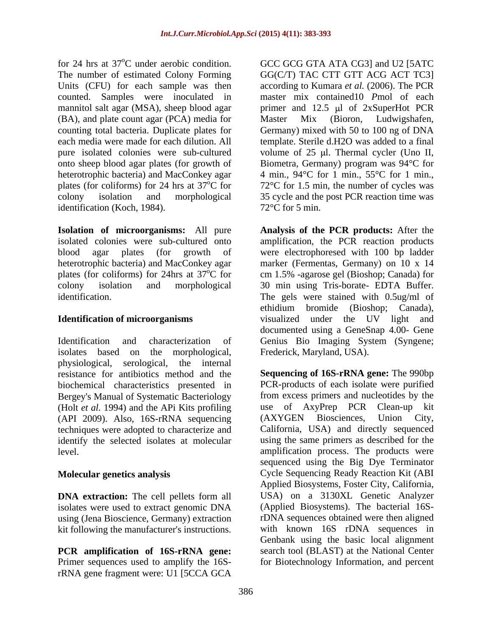for 24 hrs at 37<sup>o</sup>C under aerobic condition. GCC GCG GTA ATA CG3] and U2 [5ATC (BA), and plate count agar (PCA) media for Master Mix (Bioron, Ludwigshafen, counting total bacteria. Duplicate plates for Germany) mixed with 50 to 100 ng of DNA identification (Koch, 1984).

**Isolation of microorganisms:** All pure heterotrophic bacteria) and MacConkey agar

isolates based on the morphological, physiological, serological, the internal Bergey's Manual of Systematic Bacteriology from excess primers and nucleotides by the (Holt *et al* 1994) and the APi Kits profiling use of AxvPrep PCR Clean-up kit (Holt *et al.* 1994) and the APi Kits profiling use of AxyPrep PCR<br>(API 2009) Also 16S-rRNA sequencing (AXYGEN Biosciences. (API 2009). Also, 16S-rRNA sequencing (AXYGEN Biosciences, Union City, techniques were adopted to characterize and identify the selected isolates at molecular

**DNA extraction:** The cell pellets form all isolates were used to extract genomic DNA using (Jena Bioscience, Germany) extraction kit following the manufacturer's instructions.

Primer sequences used to amplify the 16S-for Biotechnology Information, and percentrRNA gene fragment were: U1 [5CCA GCA

The number of estimated Colony Forming GG(C/T) TAC CTT GTT ACG ACT TC3] Units (CFU) for each sample was then according to Kumara *et al.* (2006). The PCR counted. Samples were inoculated in master mix contained10 *P*mol of each mannitol salt agar (MSA), sheep blood agar is primer and 12.5 µl of 2xSuperHot PCR counting total bacteria. Duplicate plates for Germany) mixed with 50 to 100 ng of DNA each media were made for each dilution. All template. Sterile d.H2O was added to a final pure isolated colonies were sub-cultured volume of 25 µl. Thermal cycler (Uno II, onto sheep blood agar plates (for growth of Biometra, Germany) program was 94°C for heterotrophic bacteria) and MacConkey agar  $\qquad 4 \text{ min.}$ , 94°C for 1 min., 55°C for 1 min., plates (for coliforms) for 24 hrs at  $37^{\circ}$ C for 72°C for 1.5 min, the number of cycles was colony isolation and morphological 35 cycle and the post PCR reaction time was Master Mix (Bioron, Ludwigshafen, 72°C for 5 min.

isolated colonies were sub-cultured onto amplification, the PCR reaction products blood agar plates (for growth of were electrophoresed with 100 bp ladder plates (for coliforms) for 24hrs at  $37^{\circ}$ C for cm 1.5% -agarose gel (Bioshop; Canada) for colony isolation and morphological 30 min using Tris-borate- EDTA Buffer. identification. The gels were stained with 0.5ug/ml of **Identification of microorganisms** visualized under the UV light and Identification and characterization of Genius Bio Imaging System (Syngene; **Analysis of the PCR products:** After the marker (Fermentas, Germany) on 10 x 14 ethidium bromide (Bioshop; Canada),<br>visualized under the UV light and documented using a GeneSnap 4.00- Gene Frederick, Maryland, USA).

resistance for antibiotics method and the **Sequencing of 16S-rRNA gene:** The 990bp biochemical characteristics presented in PCR-products of each isolate were purified level. amplification process. The products were **Molecular genetics analysis**  Cycle Sequencing Ready Reaction Kit (ABI **PCR amplification of 16S-rRNA gene:** search tool (BLAST) at the National Center from excess primers and nucleotides by the use of AxyPrep PCR Clean-up (AXYGEN Biosciences, Union City, California, USA) and directly sequenced using the same primers as described for the sequenced using the Big Dye Terminator Applied Biosystems, Foster City, California, USA) on a 3130XL Genetic Analyzer (Applied Biosystems). The bacterial 16SrDNA sequences obtained were then aligned with known 16S rDNA sequences in Genbank using the basic local alignment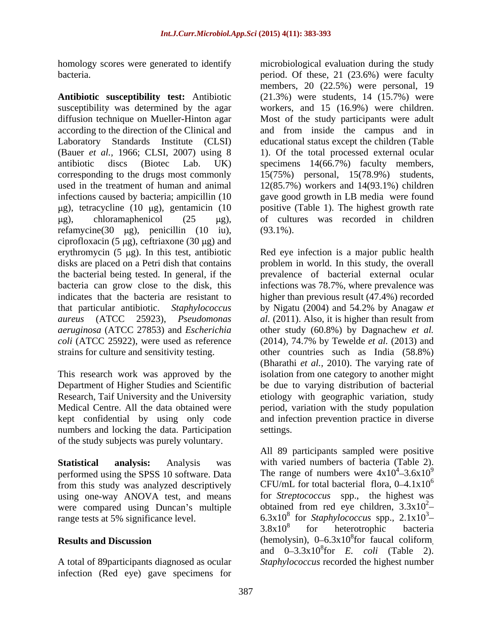homology scores were generated to identify

**Antibiotic susceptibility test:** Antibiotic susceptibility was determined by the agar workers, and 15 (16.9%) were children. diffusion technique on Mueller-Hinton agar Most of the study participants were adult according to the direction of the Clinical and and from inside the campus and in Laboratory Standards Institute (CLSI) educational status except the children (Table (Bauer *et al.,* 1966; CLSI, 2007) using 8 1). Of the total processed external ocular antibiotic discs (Biotec Lab. UK) specimens 14(66.7%) faculty members, corresponding to the drugs most commonly 15(75%) personal, 15(78.9%) students, used in the treatment of human and animal 12(85.7%) workers and 14(93.1%) children infections caused by bacteria; ampicillin (10 gave good growth in LB media were found  $\mu$ g), tetracycline (10  $\mu$ g), gentamicin (10 refamycine(30  $\mu$ g), penicillin (10 iu), (93.1%). ciprofloxacin (5  $\mu$ g), ceftriaxone (30  $\mu$ g) and erythromycin (5 µg). In this test, antibiotic Red eye infection is a major public health disks are placed on a Petri dish that contains problem in world. In this study, the overall the bacterial being tested. In general, if the bacteria can grow close to the disk, this infections was 78.7%, where prevalence was indicates that the bacteria are resistant to higher than previous result (47.4%) recorded that particular antibiotic. *Staphylococcus*  by Nigatu (2004) and 54.2% by Anagaw *et aureus* (ATCC 25923), *Pseudomonas al.* (2011). Also, it is higher than result from *aeruginosa* (ATCC 27853) and *Escherichia*  other study (60.8%) by Dagnachew *et al. coli* (ATCC 25922), were used as reference (2014), 74.7% by Tewelde *et al.* (2013) and strains for culture and sensitivity testing. other countries such as India (58.8%)

numbers and locking the data. Participation settings. of the study subjects was purely voluntary.

performed using the SPSS 10 software. Data from this study was analyzed descriptively using one-way ANOVA test, and means were compared using Duncan's multiple range tests at 5% significance level.

infection (Red eye) gave specimens for

bacteria. period. Of these, 21 (23.6%) were faculty g), chloramaphenicol  $(25 \quad \mu g)$ , of cultures was recorded in children microbiological evaluation during the study members, 20 (22.5%) were personal, 19 (21.3%) were students, 14 (15.7%) were positive (Table 1). The highest growth rate (93.1%).

This research work was approved by the isolation from one category to another might Department of Higher Studies and Scientific be due to varying distribution of bacterial Research, Taif University and the University betiology with geographic variation, study Medical Centre. All the data obtained were period, variation with the study population kept confidential by using only code and infection prevention practice in diverse prevalence of bacterial external ocular (Bharathi *et al.,* 2010). The varying rate of settings.

**Statistical analysis:** Analysis was with varied numbers of bacteria (Table 2). range tests at 5% significance level.  $6.3x10^8$  for *Staphylococcus* spp.,  $2.1x10^3$ -**Results and Discussion** (hemolysin), 0–6.3x10<sup>8</sup> for faucal coliform, A total of 89participants diagnosed as ocular *Staphylococcus* recorded the highest numberAll 89 participants sampled were positive The range of numbers were  $4x10^4 - 3.6x10^9$  $3.6x10^9$ CFU/mL for total bacterial flora,  $0-4.1x10^6$ for *Streptococcus* spp., the highest was obtained from red eye children,  $3.3x10^{2}$ -2  $3.8x10<sup>8</sup>$  for heterotrophic bacteria for heterotrophic bacteria (hemolysin),  $0-6.3x10^8$  for faucal coliform,<br>and  $0-3.3x10^8$  for *E. coli* (Table 2). and  $0-3.3x10^{8}$ for *E. coli* (Table 2).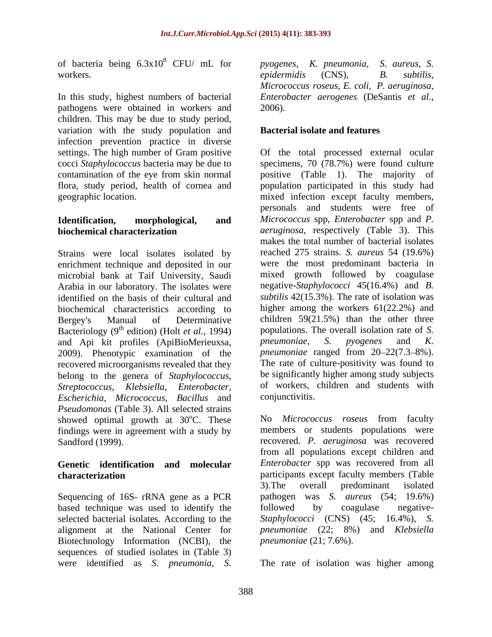of bacteria being  $6.3x10^8$  CFU/ mL for *pyogenes*, *K. pneumonia*, *S. aureus*, *S.* 

In this study, highest numbers of bacterial pathogens were obtained in workers and 2006). children. This may be due to study period, variation with the study population and infection prevention practice in diverse

Strains were local isolates isolated by enrichment technique and deposited in our microbial bank at Taif University, Saudi Arabia in our laboratory. The isolates were identified on the basis of their cultural and biochemical characteristics according to Bacteriology  $(9^{th}$  edition) (Holt *et al.*, 1994) populations. The o<br>and Ani kit profiles (ApiBioMerieuxsa *pheumoniae*, S. and Api kit profiles (ApiBioMerieuxsa, pneumoniae, S. pyogenes and K. 2009). Phenotypic examination of the recovered microorganisms revealed that they belong to the genera of *Staphylococcus*, *Escherichia, Micrococcus, Bacillus* and *Pseudomonas* (Table 3). All selected strains showed optimal growth at  $30^{\circ}$ C. These findings were in agreement with a study by

# **Genetic identification and molecular**

Sequencing of 16S- rRNA gene as a PCR based technique was used to identify the followed by coagulase negative-Biotechnology Information (NCBI), the sequences of studied isolates in (Table 3) were identified as *S. pneumonia, S.*

 $8$  CFU/ mL for pyogenes, K. pneumonia, S. aureus, S. workers. by the epidermidis (CNS), the subtilis, *pyogenes, K. pneumonia, S. aureus, S. epidermidis* (CNS)*, B. subtilis, Micrococcus roseus, E. coli, P. aeruginosa, Enterobacter aerogenes* (DeSantis *et al.,* 2006).

### **Bacterial isolate and features**

settings. The high number of Gram positive Of the total processed external ocular cocci *Staphylococcus* bacteria may be due to specimens, 70 (78.7%) were found culture contamination of the eye from skin normal positive (Table 1). The majority of flora, study period, health of cornea and population participated in this study had geographic location. mixed infection except faculty members, **Identification, morphological, and** *Micrococcus* spp, *Enterobacter* spp and *P.*  **biochemical characterization**  *aeruginosa*, respectively (Table 3). This Bergey's Manual of Determinative children 59(21.5%) than the other three <sup>th</sup> edition) (Holt *et al.*, 1994) populations. The overall isolation rate of *S*. *Streptococcus, Klebsiella, Enterobacter,*  of workers, children and students with personals and students were free of makes the total number of bacterial isolates reached 275 strains. *S. aureus* 54 (19.6%) were the most predominant bacteria in mixed growth followed by coagulase negative-*Staphylococci* 45(16.4%) and *B.*  subtilis 42(15.3%). The rate of isolation was higher among the workers 61(22.2%) and *pneumoniae*, *S. pyogenes* and *K. pneumoniae* ranged from 20–22(7.3–8%). The rate of culture-positivity was found to be significantly higher among study subjects conjunctivitis.

oC. These No *Micrococcus roseus* from faculty Sandford (1999). recovered. *P. aeruginosa* was recovered **characterization** participants except faculty members (Table selected bacterial isolates. According to the *Staphylococci* (CNS) (45; 16.4%), *S.*  alignment at the National Center for *pneumoniae* (22; 8%) and *Klebsiella* members or students populations were from all populations except children and *Enterobacter* spp was recovered from all 3).The overall predominant isolated pathogen was *S. aureus* (54; 19.6%) followed by coagulase negative *pneumoniae* (21; 7.6%).

The rate of isolation was higher among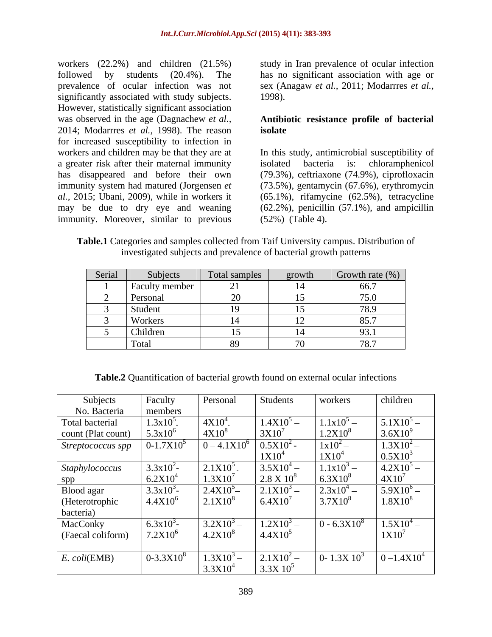workers (22.2%) and children (21.5%) study in Iran prevalence of ocular infection followed by students (20.4%). The has no significant association with age or prevalence of ocular infection was not significantly associated with study subjects. 1998). However, statistically significant association was observed in the age (Dagnachew *et al.,* **Antibiotic resistance profile of bacterial** 2014; Modarrres *et al.,* 1998). The reason for increased susceptibility to infection in workers and children may be that they are at In this study, antimicrobial susceptibility of a greater risk after their maternal immunity isolated bacteria is: chloramphenicol has disappeared and before their own (79.3%), ceftriaxone (74.9%), ciprofloxacin immunity system had matured (Jorgensen *et*  (73.5%), gentamycin (67.6%), erythromycin *al.,* 2015; Ubani, 2009), while in workers it (65.1%), rifamycine (62.5%), tetracycline may be due to dry eye and weaning (62.2%), penicillin (57.1%), and ampicillin immunity. Moreover, similar to previous

sex (Anagaw *et al.,* 2011; Modarrres *et al.,* 1998).

## **isolate**

isolated bacteria is: chloramphenicol (52%) (Table 4).

| <b>Table.1</b> Categories and samples collected from Taif University campus. Distribution of |
|----------------------------------------------------------------------------------------------|
| investigated subjects and prevalence of bacterial growth patterns                            |

| Serial | Subjects                                   | Total samples | growth                   | Growth rate $(\%)$            |
|--------|--------------------------------------------|---------------|--------------------------|-------------------------------|
|        | $\overline{\phantom{0}}$<br>Eaculty member |               |                          | 66.7                          |
|        | Personal                                   | <b>.</b><br>∽ | $\overline{1}$           | $\sim$ $\sim$<br>15.0         |
|        | Student                                    |               | ∸                        | $\sqrt{2}$ $\sqrt{2}$<br>70.7 |
|        | Workers                                    |               | $\overline{\phantom{0}}$ | 85.7                          |
|        | Children                                   |               |                          | $\Omega$<br><b>JJ.I</b>       |
|        | Total                                      |               | 70                       | $\pi$<br>10.1                 |

| <b>Table.2</b> Quantification of bacterial growth found on external ocular infections |  |
|---------------------------------------------------------------------------------------|--|
|                                                                                       |  |

| Subjects           | Faculty        | Personal            | Students          | workers           | children         |
|--------------------|----------------|---------------------|-------------------|-------------------|------------------|
| No. Bacteria       | members        |                     |                   |                   |                  |
| Total bacterial    | $1.3x10^5$ .   | $4X10^4$            | $1.4X10^{5} -$    | $1.1x10^{5} -$    | $5.1X10^{5} -$   |
| count (Plat count) | $5.3x10^{6}$   | $4X10^8$            | $3X10^7$          | $1.2X10^{8}$      | $3.6X10^{9}$     |
| Streptococcus spp  | $0-1.7X10^3$   | $0 - 4.1X10^{6}$    | $0.5X10^{2}$      | $1x10^2 -$        | $1.3X10^{2} -$   |
|                    |                |                     | $1X10^2$          | 1X10 <sup>4</sup> | $0.5X10^{3}$     |
| Staphylococcus     | $3.3x10^2$ -   | $2.1X10^5$          | $3.5X10^{4} -$    | $1.1x10^{3} -$    | $4.2X10^{5} -$   |
| spp                | $6.2X10^4$     | 1.3X10              | $2.8 \times 10^8$ | $6.3X10^{8}$      | 4X10'            |
| Blood agar         | $3.3x10^3$ -   | 2.4X10 <sup>5</sup> | $2.1X10^{3} -$    | $2.3x10^{4} -$    | $5.9X10^{6}$ –   |
| (Heterotrophic     | $4.4X10^{6}$   | $2.1X10^{8}$        | $6.4X10^{7}$      | $3.7X10^{8}$      | $1.8X10^{8}$     |
| bacteria)          |                |                     |                   |                   |                  |
| MacConky           | $6.3x10^{3}$   | $3.2X10^{3} -$      | $1.2X10^{3} -$    | $0 - 6.3X10^{8}$  | $1.5X10^{4} -$   |
| (Faecal coliform)  | $7.2X10^6$     | $4.2X10^{8}$        | $4.4X10^5$        |                   | $1X10^7$         |
|                    |                |                     |                   |                   |                  |
| E. coli(EMB)       | $0-3.3X10^{8}$ | $1.3X10^{3} -$      | $2.1X10^{2} -$    | 0- $1.3X10^3$     | $0 - 1.4X10^{4}$ |
|                    |                | 3.3X10              | $3.3X10^5$        |                   |                  |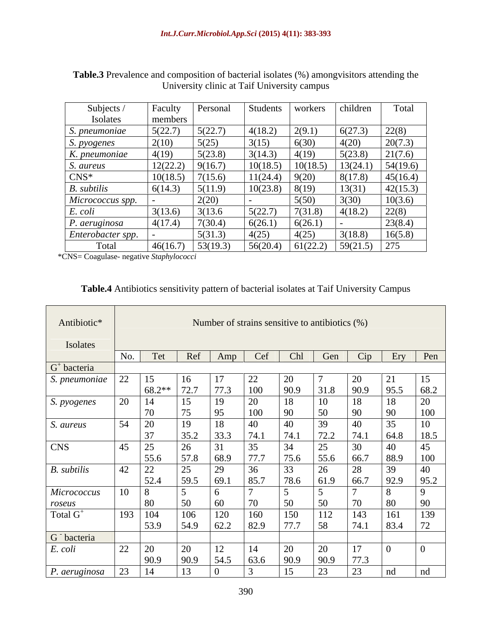| Subjects /<br>Isolates | Faculty<br>members | Personal | Students | workers  | children | Total    |
|------------------------|--------------------|----------|----------|----------|----------|----------|
| S. pneumoniae          | 5(22.7)            | 5(22.7)  | 4(18.2)  | 2(9.1)   | 6(27.3)  | 22(8)    |
| <i>S. pyogenes</i>     | 2(10)              | 5(25)    | 3(15)    | 6(30)    | 4(20)    | 20(7.3)  |
| K. pneumoniae          | 4(19)              | 5(23.8)  | 3(14.3)  | 4(19)    | 5(23.8)  | 21(7.6)  |
| S. aureus              | 12(22.2)           | 9(16.7)  | 10(18.5) | 10(18.5) | 13(24.1) | 54(19.6) |
| $CNS^*$                | 10(18.5)           | 7(15.6)  | 11(24.4) | 9(20)    | 8(17.8)  | 45(16.4) |
| <b>B.</b> subtilis     | 6(14.3)            | 5(11.9)  | 10(23.8) | 8(19)    | 13(31)   | 42(15.3) |
| Micrococcus spp.       |                    | 2(20)    |          | 5(50)    | 3(30)    | 10(3.6)  |
| E. coli                | 3(13.6)            | 3(13.6)  | 5(22.7)  | 7(31.8)  | 4(18.2)  | 22(8)    |
| P. aeruginosa          | 4(17.4)            | 7(30.4)  | 6(26.1)  | 6(26.1)  |          | 23(8.4)  |
| Enterobacter spp.      |                    | 5(31.3)  | 4(25)    | 4(25)    | 3(18.8)  | 16(5.8)  |
| Total                  | 46(16.7)           | 53(19.3) | 56(20.4) | 61(22.2) | 59(21.5) | 1275     |

**Table.3** Prevalence and composition of bacterial isolates (%) amongvisitors attending the University clinic at Taif University campus

\*CNS= Coagulase- negative *Staphylococci*

### **Table.4** Antibiotics sensitivity pattern of bacterial isolates at Taif University Campus

| Antibiotic*             |     |         |      |      | Number of strains sensitive to antibiotics (%) |      |      |      |          |
|-------------------------|-----|---------|------|------|------------------------------------------------|------|------|------|----------|
| Isolates                |     |         |      |      |                                                |      |      |      |          |
|                         | No. | Tet     | Ref  | Amp  | Cef                                            | Chl  | Gen  | Cip  | Ery      |
| $G+ bacteria$           |     |         |      |      |                                                |      |      |      |          |
| S. pneumoniae           | 22  | 15      | 16   | 17   | 22                                             | 20   |      | 20   | 21       |
|                         |     | 68.2**  | 72.7 | 77.3 | 100                                            | 90.9 | 31.8 | 90.9 | 95.5     |
| S. pyogenes             | 20  | 14      | 15   | 19   | 20                                             | 18   | 10   | 18   | 18       |
|                         |     | 70      | 75   | 95   | 100                                            | 90   | 50   | 90   | 90       |
| S. aureus               | 54  | 20      | 19   | 18   | 40                                             | 40   | 39   | 40   | 35       |
|                         |     | 37      | 35.2 | 33.3 | 74.1                                           | 74.1 | 72.2 | 74.1 | 64.8     |
| <b>CNS</b>              | 45  | 25      | 26   | 31   | 35                                             | 34   | 25   | 30   | 40       |
|                         |     | 55.6    | 57.8 | 68.9 | 77.7                                           | 75.6 | 55.6 | 66.7 | 88.9     |
| B. subtilis             | 42  | 22      | 25   | 29   | 36                                             | 33   | 26   | 28   | 39       |
|                         |     | 52.4    | 59.5 | 69.1 | 85.7                                           | 78.6 | 61.9 | 66.7 | 92.9     |
| Micrococcus             |     | 8       |      |      |                                                |      |      |      | 8        |
| roseus                  |     | 80      | 50   | 60   | 7 <sup>c</sup>                                 | 50   | 50   | 70   | 80       |
| Total G <sup>+</sup>    |     | 193 104 | 106  | 120  | 160                                            | 150  | 112  | 143  | 161      |
|                         |     | 53.9    | 54.9 | 62.2 | 82.9                                           | 77.7 | 58   | 74.1 | 83.4     |
| G <sup>-</sup> bacteria |     |         |      |      |                                                |      |      |      |          |
| E. coli                 | 22  | 20      | 20   | 12   | 14                                             | 20   | 20   | 17   | $\theta$ |
|                         |     | 90.9    | 90.9 | 54.5 | 63.6                                           | 90.9 | 90.9 | 77.3 |          |
| $P.$ aeruginosa         | 23  | 14      | 13   |      |                                                | 15   | 23   | 23   | nd       |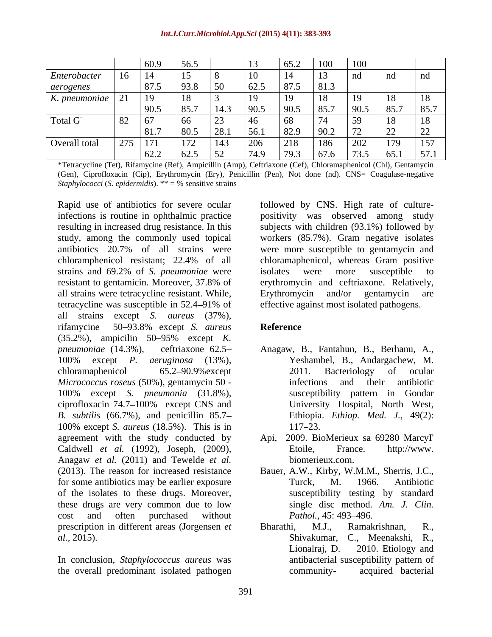|               |     | 60.9            | 56.5 |                     | 13      | 65.2 | 1 VV | 100  |      |      |
|---------------|-----|-----------------|------|---------------------|---------|------|------|------|------|------|
| Enterobacter  | 16  | 14              | 15   | $\circ$             | 1 U     | 14   | 13   | nd   | nd   | nd   |
| aerogenes     |     | 87.5            | 93.8 | 50                  | 62.5    | 87.5 | 81.3 |      |      |      |
| K. pneumoniae |     | 19              | 18   |                     | $\perp$ | 19   | 18   | 19   | 18   | 18   |
|               |     | 90.5            | 85.7 | 14.3                | 90.5    | 90.5 | 85.7 | 90.5 | 85.7 | 85.7 |
| Total G       | 82  | 67              | -66  | 23                  |         | 68   | 74   | 59   | 18   | 18   |
|               |     | 81.7            | 80.5 | 28.1                | 56.1    | 82.9 | 90.2 | 72   | 22   | 22   |
| Overall total | 275 | 17 <sup>2</sup> | 172  | 143                 | 206     | 218  | 186  | 202  | 179  | 157  |
|               |     | 62.2            | 62.5 | 52<br>$\bm{\omega}$ | 74.9    | 79.3 | 67.6 | 73.5 | 65.1 | 57.1 |

\*Tetracycline (Tet), Rifamycine (Ref), Ampicillin (Amp), Ceftriaxone (Cef), Chloramaphenicol (Chl), Gentamycin (Gen), Ciprofloxacin (Cip), Erythromycin (Ery), Penicillin (Pen), Not done (nd). CNS= Coagulase-negative *Staphylococci* (*S. epidermidis*). \*\* = % sensitive strains

Rapid use of antibiotics for severe ocular followed by CNS. High rate of culture infections is routine in ophthalmic practice positivity was observed among study resulting in increased drug resistance. In this subjects with children (93.1%) followed by study, among the commonly used topical workers (85.7%). Gram negative isolates antibiotics 20.7% of all strains were were more susceptible to gentamycin and chloramphenicol resistant; 22.4% of all chloramaphenicol, whereas Gram positive strains and 69.2% of *S. pneumoniae* were isolates were more susceptible to resistant to gentamicin. Moreover, 37.8% of all strains were tetracycline resistant. While, tetracycline was susceptible in 52.4–91% of all strains except *S. aureus* (37%), rifamycine 50–93.8% except *S. aureus* **Reference** (35.2%), ampicilin 50 95% except *K. pneumoniae* (14.3%), ceftriaxone 62.5 Anagaw, B., Fantahun, B., Berhanu, A., 100% except *P. aeruginosa* (13%), chloramaphenicol 65.2–90.9% except 2011. Bacteriology of ocular *Micrococcus roseus* (50%), gentamycin 50 - 100% except *S. pneumonia* (31.8%), ciprofloxacin 74.7 100% except CNS and *B. subtilis* (66.7%), and penicillin 85.7 100% except *S. aureus* (18.5%). This is in agreement with the study conducted by Api, Caldwell *et al.* (1992), Joseph, (2009), Etoile, France. http://www. Anagaw *et al.* (2011) and Tewelde *et al.* (2013). The reason for increased resistance Bauer, A.W., Kirby, W.M.M., Sherris, J.C., for some antibiotics may be earlier exposure Turck, M. 1966. Antibiotic of the isolates to these drugs. Moreover, these drugs are very common due to low cost and often purchased without *Pathol.*, 45: 493–496. prescription in different areas (Jorgensen *et* Bharathi, M.J., Ramakrishnan, R., *al.,* 2015). Shivakumar, C., Meenakshi, R.,

In conclusion, *Staphylococcus aureus* was the overall predominant isolated pathogen

isolates were more susceptible to erythromycin and ceftriaxone. Relatively, Erythromycin and/or gentamycin are effective against most isolated pathogens.

### **Reference**

- Yeshambel, B., Andargachew, M. 2011. Bacteriology of ocular infections and their antibiotic susceptibility pattern in Gondar University Hospital, North West, Ethiopia. *Ethiop. Med. J.,* 49(2): 117–23.
- 2009. BioMerieux sa 69280 MarcyI' Etoile, France. http://www. biomerieux.com.
- Turck, M. 1966. Antibiotic susceptibility testing by standard single disc method. *Am. J. Clin. Pathol.,* 45: 493–496.
- Bharathi, M.J., Ramakrishnan, R., Lionalraj, D. 2010. Etiology and antibacterial susceptibility pattern of community- acquired bacterial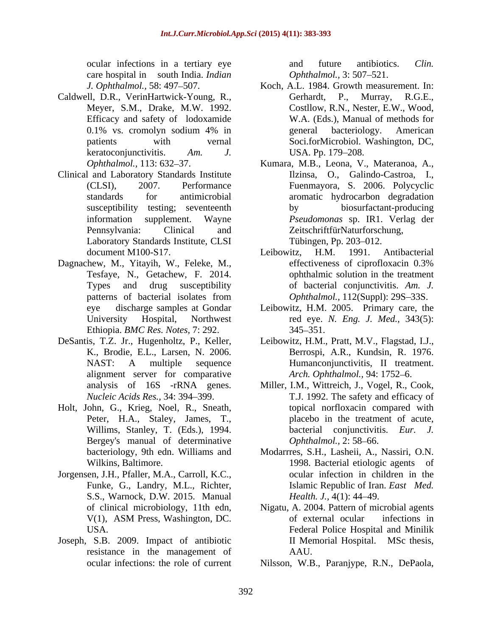care hospital in south India. *Indian* 

- Caldwell, D.R., VerinHartwick-Young, R., Efficacy and safety of lodoxamide keratoconjunctivitis. *Am. J.*
- Clinical and Laboratory Standards Institute Laboratory Standards Institute, CLSI Tübingen, Pp. 203–012.
- Ethiopia. *BMC Res. Notes,* 7: 292.
- alignment server for comparative
- Holt, John, G., Krieg, Noel, R., Sneath, Peter, H.A., Staley, James, T., Willims, Stanley, T. (Eds.), 1994. Bergey's manual of determinative *Ophthalmol.*, 2:58–66.
- Jorgensen, J.H., Pfaller, M.A., Carroll, K.C., cocular infection in children in the<br>Funke, G., Landry, M.L., Richter, Islamic Republic of Iran. *East Med*.<br>S.S., Warnock, D.W. 2015. Manual *Health. J.*, 4(1): 44–49.
- Joseph, S.B. 2009. Impact of antibiotic resistance in the management of

ocular infections in a tertiary eye and future antibiotics. Clin. and future antibiotics. *Clin. Ophthalmol.,* 3: 507–521.

- *J. Ophthalmol.*, 58: 497–507. Koch, A.L. 1984. Growth measurement. In: Meyer, S.M., Drake, M.W. 1992. Costllow, R.N., Nester, E.W., Wood, 0.1% vs. cromolyn sodium 4% in patients with vernal Soci.forMicrobiol. Washington, DC, Gerhardt, P., Murray, R.G.E., W.A. (Eds.), Manual of methods for general bacteriology. American USA. Pp. 179–208.
- *Ophthalmol.*, 113: 632–37. Kumara, M.B., Leona, V., Materanoa, A., (CLSI), 2007. Performance Fuenmayora, S. 2006. Polycyclic standards for antimicrobial aromatic hydrocarbon degradation susceptibility testing; seventeenth by biosurfactant-producing information supplement. Wayne *Pseudomonas* sp. IR1. Verlag der Pennsylvania: Clinical and ZeitschriftfürNaturforschung, Ilzinsa, O., Galindo-Castroa, I., by biosurfactant-producing Tübingen, Pp. 203–012.
- document M100-S17. Leibowitz, H.M. 1991. Antibacterial Dagnachew, M., Yitayih, W., Feleke, M., effectiveness of ciprofloxacin 0.3% Tesfaye, N., Getachew, F. 2014. ophthalmic solution in the treatment Types and drug susceptibility of bacterial conjunctivitis. *Am. J.* patterns of bacterial isolates from *Ophthalmol.*, 112(Suppl): 29S-33S. Leibowitz, H.M. 1991. Antibacterial effectiveness of ciprofloxacin 0.3% *Ophthalmol.,* 112(Suppl): 29S-33S.
	- eye discharge samples at Gondar Leibowitz, H.M. 2005. Primary care, the University Hospital, Northwest red eye. *N. Eng. J. Med.,* 343(5): 345 351.
- DeSantis, T.Z. Jr., Hugenholtz, P., Keller, Leibowitz, H.M., Pratt, M.V., Flagstad, I.J., K., Brodie, E.L., Larsen, N. 2006. Berrospi, A.R., Kundsin, R. 1976. NAST: A multiple sequence Humanconjunctivitis, II treatment. Humanconjunctivitis, II treatment. Arch. Ophthalmol., 94: 1752-6.
	- analysis of 16S -rRNA genes. Miller, I.M., Wittreich, J., Vogel, R., Cook, *Nucleic Acids Res.,* 34: 394 399. T.J. 1992. The safety and efficacy of topical norfloxacin compared with placebo in the treatment of acute, bacterial conjunctivitis. *Eur. J. Ophthalmol.,* 2: 58–66.
	- bacteriology, 9th edn. Williams and Modarrres, S.H., Lasheii, A., Nassiri, O.N. Wilkins, Baltimore. 1998. Bacterial etiologic agents of ocular infection in children in the Islamic Republic of Iran. *East Med. Health. J.,* 4(1): 44–49.
	- of clinical microbiology, 11th edn, Nigatu, A. 2004. Pattern of microbial agents V(1), ASM Press, Washington, DC. USA. Federal Police Hospital and Minilik of external ocular infections in II Memorial Hospital. MSc thesis, AAU.
	- ocular infections: the role of current Nilsson, W.B., Paranjype, R.N., DePaola,